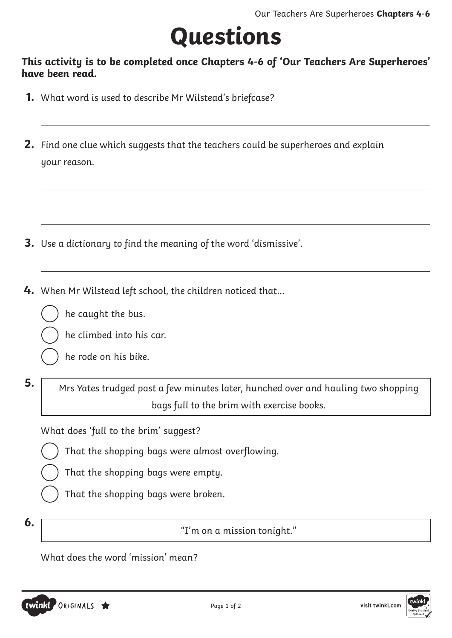## **Questions**

#### **This activity is to be completed once Chapters 4-6 of 'Our Teachers Are Superheroes' have been read.**

- **1.** What word is used to describe Mr Wilstead's briefcase?
- **2.** Find one clue which suggests that the teachers could be superheroes and explain your reason.

- **3.** Use a dictionary to find the meaning of the word 'dismissive'.
- **4.** When Mr Wilstead left school, the children noticed that…







he rode on his bike.

**5.** Mrs Yates trudged past a few minutes later, hunched over and hauling two shopping bags full to the brim with exercise books.

What does 'full to the brim' suggest?

- That the shopping bags were almost overflowing.
- That the shopping bags were empty.
- That the shopping bags were broken.
- 

**6.**  $\begin{bmatrix} 1 \end{bmatrix}$  **6.** The same state of  $\begin{bmatrix} 1 \end{bmatrix}$  in on a mission tonight."

What does the word 'mission' mean?



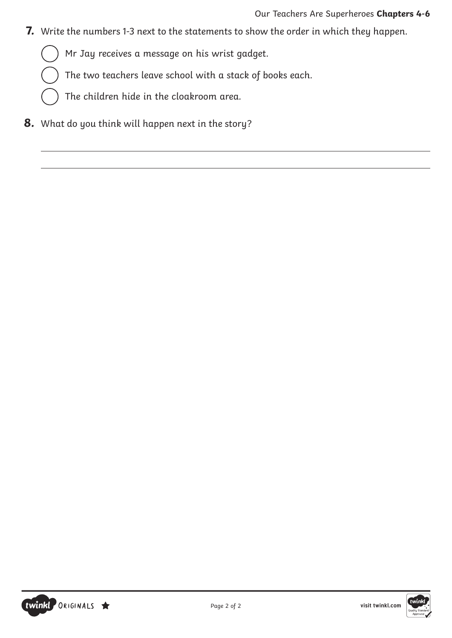**7.** Write the numbers 1-3 next to the statements to show the order in which they happen.

Mr Jay receives a message on his wrist gadget.

The two teachers leave school with a stack of books each.

The children hide in the cloakroom area.

**8.** What do you think will happen next in the story?



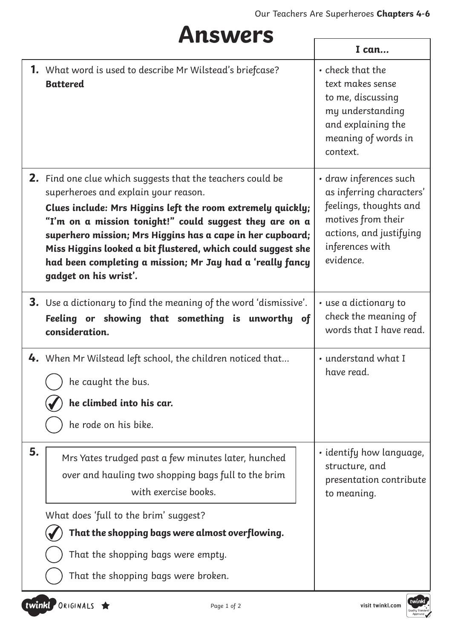٦

'n

### **Answers**

|    |                                                                                                                                                                                                                                                                                                                                                                                                                                                         | I can                                                                                                                                                         |
|----|---------------------------------------------------------------------------------------------------------------------------------------------------------------------------------------------------------------------------------------------------------------------------------------------------------------------------------------------------------------------------------------------------------------------------------------------------------|---------------------------------------------------------------------------------------------------------------------------------------------------------------|
|    | <b>1.</b> What word is used to describe Mr Wilstead's briefcase?<br><b>Battered</b>                                                                                                                                                                                                                                                                                                                                                                     | • check that the<br>text makes sense<br>to me, discussing<br>my understanding<br>and explaining the<br>meaning of words in<br>context.                        |
|    | <b>2.</b> Find one clue which suggests that the teachers could be<br>superheroes and explain your reason.<br>Clues include: Mrs Higgins left the room extremely quickly;<br>"I'm on a mission tonight!" could suggest they are on a<br>superhero mission; Mrs Higgins has a cape in her cupboard;<br>Miss Higgins looked a bit flustered, which could suggest she<br>had been completing a mission; Mr Jay had a 'really fancy<br>gadget on his wrist'. | · draw inferences such<br>as inferring characters'<br>feelings, thoughts and<br>motives from their<br>actions, and justifying<br>inferences with<br>evidence. |
|    | <b>3.</b> Use a dictionary to find the meaning of the word 'dismissive'.<br>Feeling or showing that something is unworthy of<br>consideration.                                                                                                                                                                                                                                                                                                          | $\cdot$ use a dictionary to<br>check the meaning of<br>words that I have read.                                                                                |
|    | <b>4.</b> When Mr Wilstead left school, the children noticed that<br>he caught the bus.<br>he climbed into his car.<br>he rode on his bike.                                                                                                                                                                                                                                                                                                             | · understand what I<br>have read.                                                                                                                             |
| 5. | Mrs Yates trudged past a few minutes later, hunched<br>over and hauling two shopping bags full to the brim<br>with exercise books.<br>What does 'full to the brim' suggest?<br>That the shopping bags were almost overflowing.<br>That the shopping bags were empty.                                                                                                                                                                                    | • identify how language,<br>structure, and<br>presentation contribute<br>to meaning.                                                                          |
|    | That the shopping bags were broken.                                                                                                                                                                                                                                                                                                                                                                                                                     |                                                                                                                                                               |

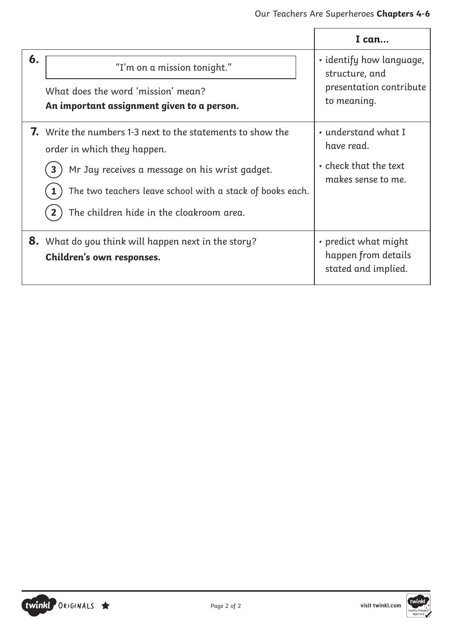|    |                                                                                                                                                                                                                                                                              | I can                                                                                  |
|----|------------------------------------------------------------------------------------------------------------------------------------------------------------------------------------------------------------------------------------------------------------------------------|----------------------------------------------------------------------------------------|
| 6. | "I'm on a mission tonight."<br>What does the word 'mission' mean?<br>An important assignment given to a person.                                                                                                                                                              | · identify how language,<br>structure, and<br>presentation contribute<br>to meaning.   |
|    | <b>7.</b> Write the numbers 1-3 next to the statements to show the<br>order in which they happen.<br>Mr Jay receives a message on his wrist gadget.<br>$\mathbf{3}$<br>The two teachers leave school with a stack of books each.<br>The children hide in the cloakroom area. | • understand what I<br>have read.<br>$\cdot$ check that the text<br>makes sense to me. |
|    | <b>8.</b> What do you think will happen next in the story?<br>Children's own responses.                                                                                                                                                                                      | • predict what might<br>happen from details<br>stated and implied.                     |

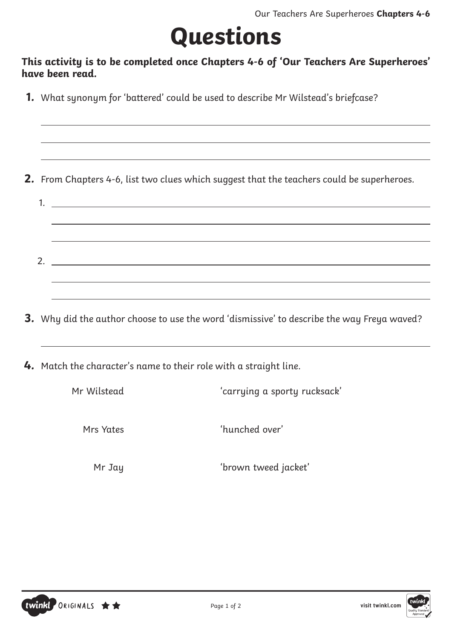# **Questions**

#### **This activity is to be completed once Chapters 4-6 of 'Our Teachers Are Superheroes' have been read.**

**1.** What synonym for 'battered' could be used to describe Mr Wilstead's briefcase?

**2.** From Chapters 4-6, list two clues which suggest that the teachers could be superheroes.

1. 2.

**3.** Why did the author choose to use the word 'dismissive' to describe the way Freya waved?

**4.** Match the character's name to their role with a straight line.

| Mr Wilstead | 'carrying a sporty rucksack' |  |  |
|-------------|------------------------------|--|--|
| Mrs Yates   | 'hunched over'               |  |  |
| Mr Jay      | 'brown tweed jacket'         |  |  |



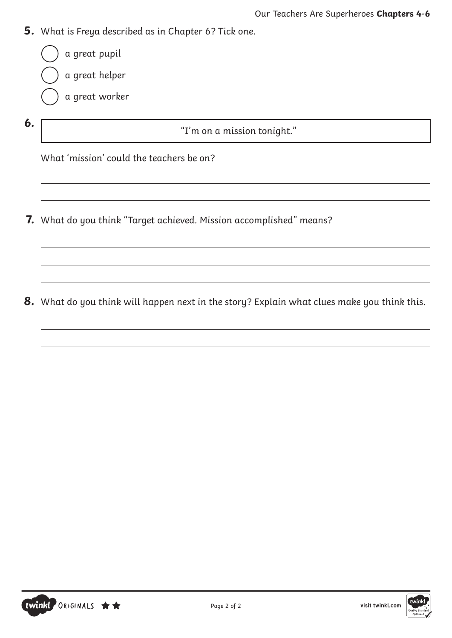- **5.** What is Freya described as in Chapter 6? Tick one.
- **6.**  $\begin{bmatrix} 1 \end{bmatrix}$   $\begin{bmatrix} 1 \end{bmatrix}$   $\begin{bmatrix} 1 \end{bmatrix}$   $\begin{bmatrix} 0 \end{bmatrix}$   $\begin{bmatrix} 1 \end{bmatrix}$   $\begin{bmatrix} 0 \end{bmatrix}$   $\begin{bmatrix} 1 \end{bmatrix}$   $\begin{bmatrix} 0 \end{bmatrix}$   $\begin{bmatrix} 1 \end{bmatrix}$   $\begin{bmatrix} 0 \end{bmatrix}$   $\begin{bmatrix} 1 \end{bmatrix}$   $\begin{bmatrix} 0 \end{bmatrix}$   $\begin{bmatrix} 1 \end{b$ a great pupil a great helper a great worker

What 'mission' could the teachers be on?

**7.** What do you think "Target achieved. Mission accomplished" means?

**8.** What do you think will happen next in the story? Explain what clues make you think this.

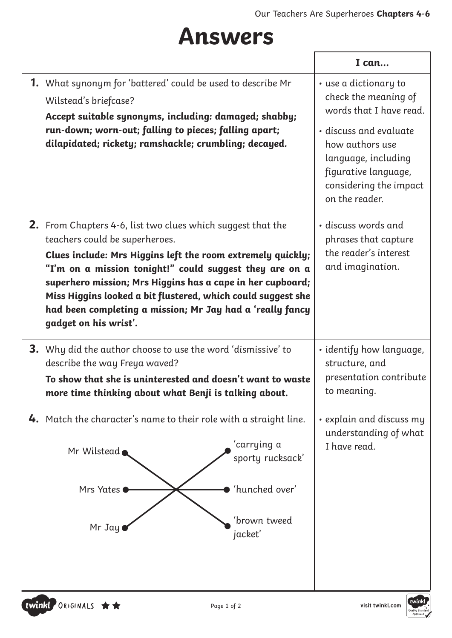### **Answers**

|                                                                                                                                                                                                                                                                                                                                                                                                                                                    | I can                                                                                                                                                                                                            |
|----------------------------------------------------------------------------------------------------------------------------------------------------------------------------------------------------------------------------------------------------------------------------------------------------------------------------------------------------------------------------------------------------------------------------------------------------|------------------------------------------------------------------------------------------------------------------------------------------------------------------------------------------------------------------|
| <b>1.</b> What synonym for 'battered' could be used to describe Mr<br>Wilstead's briefcase?<br>Accept suitable synonyms, including: damaged; shabby;<br>run-down; worn-out; falling to pieces; falling apart;<br>dilapidated; rickety; ramshackle; crumbling; decayed.                                                                                                                                                                             | • use a dictionary to<br>check the meaning of<br>words that I have read.<br>• discuss and evaluate<br>how authors use<br>language, including<br>figurative language,<br>considering the impact<br>on the reader. |
| <b>2.</b> From Chapters 4-6, list two clues which suggest that the<br>teachers could be superheroes.<br>Clues include: Mrs Higgins left the room extremely quickly;<br>"I'm on a mission tonight!" could suggest they are on a<br>superhero mission; Mrs Higgins has a cape in her cupboard;<br>Miss Higgins looked a bit flustered, which could suggest she<br>had been completing a mission; Mr Jay had a 'really fancy<br>gadget on his wrist'. | • discuss words and<br>phrases that capture<br>the reader's interest<br>and imagination.                                                                                                                         |
| <b>3.</b> Why did the author choose to use the word 'dismissive' to<br>describe the way Freya waved?<br>To show that she is uninterested and doesn't want to waste<br>more time thinking about what Benji is talking about.                                                                                                                                                                                                                        | • identify how language,<br>structure, and<br>presentation contribute<br>to meaning.                                                                                                                             |
| <b>4.</b> Match the character's name to their role with a straight line.<br>'carrying a<br>Mr Wilstead<br>sporty rucksack'<br>'hunched over'<br>Mrs Yates<br>'brown tweed<br>Mr Jay<br>jacket'                                                                                                                                                                                                                                                     | $\cdot$ explain and discuss my<br>understanding of what<br>I have read.                                                                                                                                          |
| twinkl ORIGINALS ★★<br>Page 1 of 2                                                                                                                                                                                                                                                                                                                                                                                                                 | twinkl<br>visit twinkl.com                                                                                                                                                                                       |



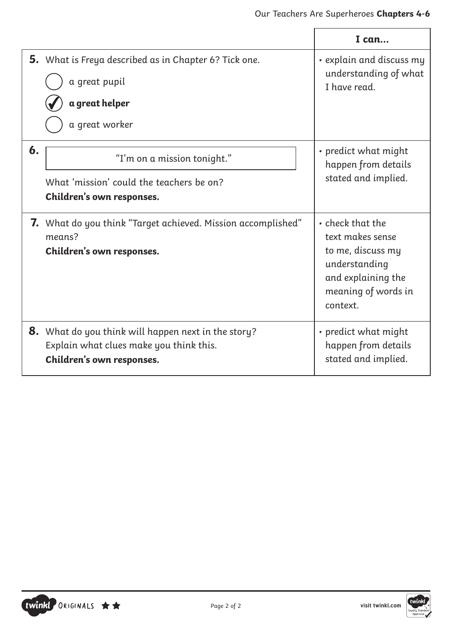|    |                                                                                                                                    | I can                                                                                                                               |
|----|------------------------------------------------------------------------------------------------------------------------------------|-------------------------------------------------------------------------------------------------------------------------------------|
|    | <b>5.</b> What is Freya described as in Chapter 6? Tick one.<br>a great pupil<br>a great helper<br>a great worker                  | • explain and discuss my<br>understanding of what<br>I have read.                                                                   |
| 6. | "I'm on a mission tonight."<br>What 'mission' could the teachers be on?<br>Children's own responses.                               | • predict what might<br>happen from details<br>stated and implied.                                                                  |
|    | <b>7.</b> What do you think "Target achieved. Mission accomplished"<br>means?<br>Children's own responses.                         | • check that the<br>text makes sense<br>to me, discuss my<br>understanding<br>and explaining the<br>meaning of words in<br>context. |
|    | <b>8.</b> What do you think will happen next in the story?<br>Explain what clues make you think this.<br>Children's own responses. | • predict what might<br>happen from details<br>stated and implied.                                                                  |



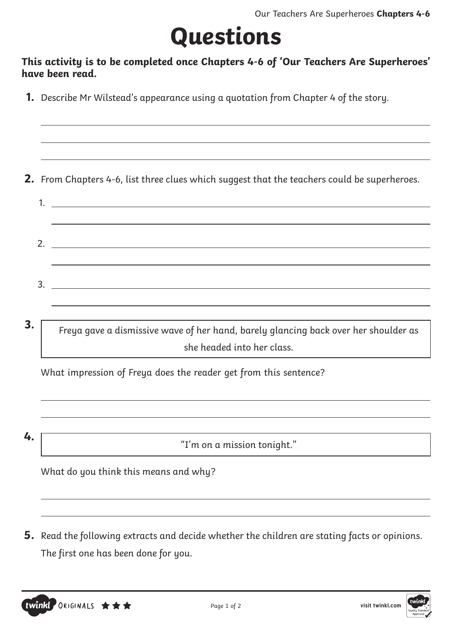# **Questions**

#### **This activity is to be completed once Chapters 4-6 of 'Our Teachers Are Superheroes' have been read.**

**1.** Describe Mr Wilstead's appearance using a quotation from Chapter 4 of the story.

**2.** From Chapters 4-6, list three clues which suggest that the teachers could be superheroes.

1. 2. 3.

**3.** Freya gave a dismissive wave of her hand, barely glancing back over her shoulder as she headed into her class.

What impression of Freya does the reader get from this sentence?

**4.** "I'm on a mission tonight."

What do you think this means and why?

**5.** Read the following extracts and decide whether the children are stating facts or opinions. The first one has been done for you.

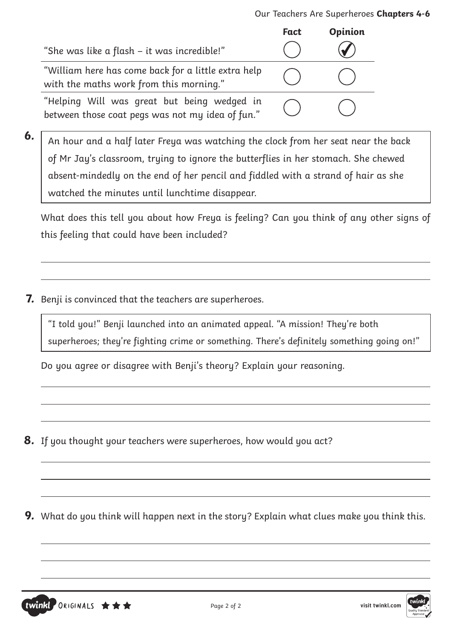|                                                                                                 | <b>Fact</b> | <b>Opinion</b> |
|-------------------------------------------------------------------------------------------------|-------------|----------------|
| "She was like a flash – it was incredible!"                                                     |             |                |
| "William here has come back for a little extra help<br>with the maths work from this morning."  |             |                |
| "Helping Will was great but being wedged in<br>between those coat pegs was not my idea of fun." |             |                |

**6.** An hour and a half later Freya was watching the clock from her seat near the back of Mr Jay's classroom, trying to ignore the butterflies in her stomach. She chewed absent-mindedly on the end of her pencil and fiddled with a strand of hair as she watched the minutes until lunchtime disappear.

What does this tell you about how Freya is feeling? Can you think of any other signs of this feeling that could have been included?

**7.** Benji is convinced that the teachers are superheroes.

"I told you!" Benji launched into an animated appeal. "A mission! They're both superheroes; they're fighting crime or something. There's definitely something going on!"

Do you agree or disagree with Benji's theory? Explain your reasoning.

**8.** If you thought your teachers were superheroes, how would you act?

**9.** What do you think will happen next in the story? Explain what clues make you think this.



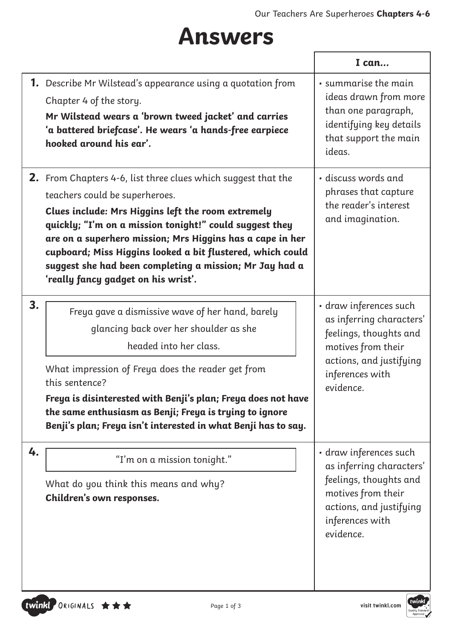### **Answers**

|    |                                                                                                                                                                                                                                                                                                                                                                                                                                                      | I can                                                                                                                                                         |
|----|------------------------------------------------------------------------------------------------------------------------------------------------------------------------------------------------------------------------------------------------------------------------------------------------------------------------------------------------------------------------------------------------------------------------------------------------------|---------------------------------------------------------------------------------------------------------------------------------------------------------------|
|    | <b>1.</b> Describe Mr Wilstead's appearance using a quotation from<br>Chapter 4 of the story.<br>Mr Wilstead wears a 'brown tweed jacket' and carries<br>'a battered briefcase'. He wears 'a hands-free earpiece<br>hooked around his ear'.                                                                                                                                                                                                          | · summarise the main<br>ideas drawn from more<br>than one paragraph,<br>identifying key details<br>that support the main<br>ideas.                            |
|    | <b>2.</b> From Chapters 4-6, list three clues which suggest that the<br>teachers could be superheroes.<br>Clues include: Mrs Higgins left the room extremely<br>quickly; "I'm on a mission tonight!" could suggest they<br>are on a superhero mission; Mrs Higgins has a cape in her<br>cupboard; Miss Higgins looked a bit flustered, which could<br>suggest she had been completing a mission; Mr Jay had a<br>'really fancy gadget on his wrist'. | • discuss words and<br>phrases that capture<br>the reader's interest<br>and imagination.                                                                      |
| 3. | Freya gave a dismissive wave of her hand, barely<br>glancing back over her shoulder as she<br>headed into her class.<br>What impression of Freya does the reader get from<br>this sentence?<br>Freya is disinterested with Benji's plan; Freya does not have<br>the same enthusiasm as Benji; Freya is trying to ignore<br>Benji's plan; Freya isn't interested in what Benji has to say.                                                            | · draw inferences such<br>as inferring characters'<br>feelings, thoughts and<br>motives from their<br>actions, and justifying<br>inferences with<br>evidence. |
| 4. | "I'm on a mission tonight."<br>What do you think this means and why?<br>Children's own responses.                                                                                                                                                                                                                                                                                                                                                    | · draw inferences such<br>as inferring characters'<br>feelings, thoughts and<br>motives from their<br>actions, and justifying<br>inferences with<br>evidence. |

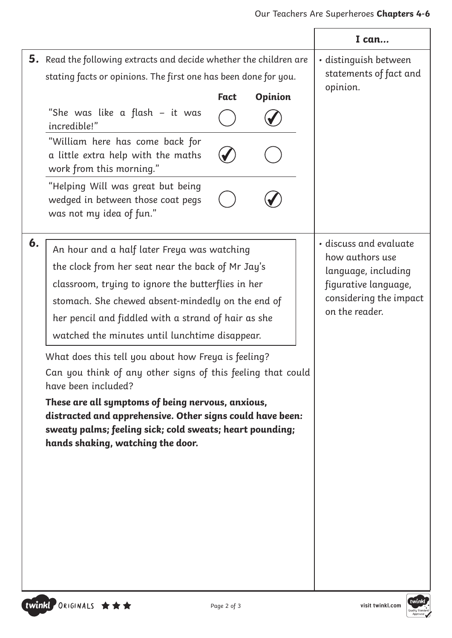|                                                                                                                                                                                                                                                                                                                                                                                                                                                                                                                                                                                                                                                                                            | I can                                                                                                                                |
|--------------------------------------------------------------------------------------------------------------------------------------------------------------------------------------------------------------------------------------------------------------------------------------------------------------------------------------------------------------------------------------------------------------------------------------------------------------------------------------------------------------------------------------------------------------------------------------------------------------------------------------------------------------------------------------------|--------------------------------------------------------------------------------------------------------------------------------------|
| <b>5.</b> Read the following extracts and decide whether the children are<br>stating facts or opinions. The first one has been done for you.<br><b>Opinion</b><br><b>Fact</b><br>"She was like a flash – it was<br>incredible!"<br>"William here has come back for<br>a little extra help with the maths                                                                                                                                                                                                                                                                                                                                                                                   | · distinguish between<br>statements of fact and<br>opinion.                                                                          |
| work from this morning."<br>"Helping Will was great but being<br>wedged in between those coat pegs<br>was not my idea of fun."                                                                                                                                                                                                                                                                                                                                                                                                                                                                                                                                                             |                                                                                                                                      |
| 6.<br>An hour and a half later Freya was watching<br>the clock from her seat near the back of Mr Jay's<br>classroom, trying to ignore the butterflies in her<br>stomach. She chewed absent-mindedly on the end of<br>her pencil and fiddled with a strand of hair as she<br>watched the minutes until lunchtime disappear.<br>What does this tell you about how Freya is feeling?<br>Can you think of any other signs of this feeling that could<br>have been included?<br>These are all symptoms of being nervous, anxious,<br>distracted and apprehensive. Other signs could have been:<br>sweaty palms; feeling sick; cold sweats; heart pounding;<br>hands shaking, watching the door. | · discuss and evaluate<br>how authors use<br>language, including<br>figurative language,<br>considering the impact<br>on the reader. |